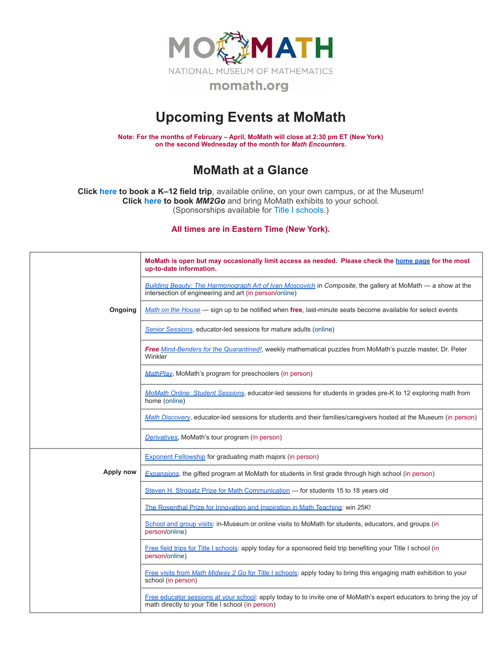

## **Upcoming Events at MoMath**

**Note: For the months of February – April, MoMath will close at 2:30 pm ET (New York) on the second Wednesday of the month for** *Math [Encounters](http://mathencounters.org/)***.**

## **MoMath at a Glance**

**Click [here](http://fieldtrips.momath.org/) to book a K–12 field trip**, available online, on your own campus, or at the Museum! **Click [here](http://mm2go.momath.org/) to book** *MM2Go* and bring MoMath exhibits to your school. (Sponsorships available for Title I [schools.](http://titleone.momath.org/))

**All times are in Eastern Time (New York).**

|           | MoMath is open but may occasionally limit access as needed. Please check the home page for the most<br>up-to-date information.                                           |
|-----------|--------------------------------------------------------------------------------------------------------------------------------------------------------------------------|
|           | Building Beauty: The Harmonograph Art of Ivan Moscovich in Composite, the gallery at MoMath — a show at the<br>intersection of engineering and art (in person/online)    |
| Ongoing   | Math on the House — sign up to be notified when free, last-minute seats become available for select events                                                               |
|           | Senior Sessions, educator-led sessions for mature adults (online)                                                                                                        |
|           | Free Mind-Benders for the Quarantined!, weekly mathematical puzzles from MoMath's puzzle master, Dr. Peter<br>Winkler                                                    |
|           | MathPlay, MoMath's program for preschoolers (in person)                                                                                                                  |
|           | MoMath Online: Student Sessions, educator-led sessions for students in grades pre-K to 12 exploring math from<br>home (online)                                           |
|           | Math Discovery, educator-led sessions for students and their families/caregivers hosted at the Museum (in person)                                                        |
|           | Derivatives, MoMath's tour program (in person)                                                                                                                           |
|           | <b>Exponent Fellowship for graduating math majors (in person)</b>                                                                                                        |
| Apply now | Expansions, the gifted program at MoMath for students in first grade through high school (in person)                                                                     |
|           | Steven H. Strogatz Prize for Math Communication — for students 15 to 18 years old                                                                                        |
|           | The Rosenthal Prize for Innovation and Inspiration in Math Teaching: win 25K!                                                                                            |
|           | School and group visits: in-Museum or online visits to MoMath for students, educators, and groups (in<br>person/online)                                                  |
|           | Free field trips for Title I schools: apply today for a sponsored field trip benefiting your Title I school (in<br>person/online)                                        |
|           | Free visits from Math Midway 2 Go for Title I schools: apply today to bring this engaging math exhibition to your<br>school (in person)                                  |
|           | Free educator sessions at your school: apply today to to invite one of MoMath's expert educators to bring the joy of<br>math directly to your Title I school (in person) |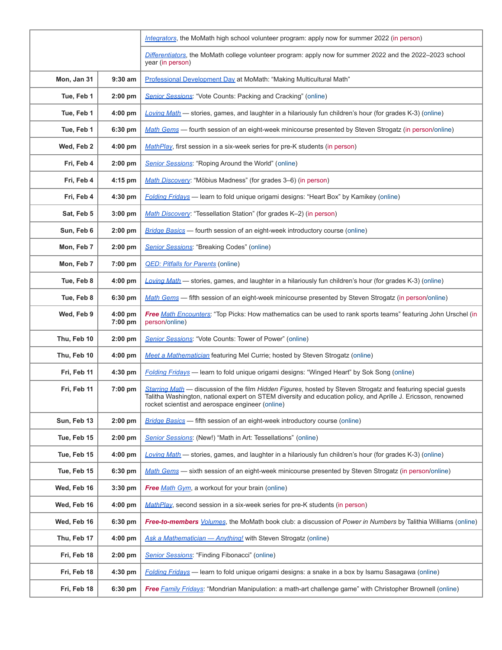|             |                      | Integrators, the MoMath high school volunteer program: apply now for summer 2022 (in person)                                                                                                                                                                                       |
|-------------|----------------------|------------------------------------------------------------------------------------------------------------------------------------------------------------------------------------------------------------------------------------------------------------------------------------|
|             |                      | Differentiators, the MoMath college volunteer program: apply now for summer 2022 and the 2022-2023 school<br>year (in person)                                                                                                                                                      |
| Mon, Jan 31 | $9:30$ am            | Professional Development Day at MoMath: "Making Multicultural Math"                                                                                                                                                                                                                |
| Tue, Feb 1  | $2:00$ pm            | <b>Senior Sessions: "Vote Counts: Packing and Cracking" (online)</b>                                                                                                                                                                                                               |
| Tue, Feb 1  | $4:00$ pm            | Loving Math - stories, games, and laughter in a hilariously fun children's hour (for grades K-3) (online)                                                                                                                                                                          |
| Tue, Feb 1  | $6:30$ pm            | Math Gems — fourth session of an eight-week minicourse presented by Steven Strogatz (in person/online)                                                                                                                                                                             |
| Wed, Feb 2  | 4:00 pm              | MathPlay, first session in a six-week series for pre-K students (in person)                                                                                                                                                                                                        |
| Fri, Feb 4  | $2:00$ pm            | Senior Sessions: "Roping Around the World" (online)                                                                                                                                                                                                                                |
| Fri, Feb 4  | $4:15$ pm            | Math Discovery: "Möbius Madness" (for grades 3–6) (in person)                                                                                                                                                                                                                      |
| Fri, Feb 4  | 4:30 pm              | Folding Fridays - learn to fold unique origami designs: "Heart Box" by Kamikey (online)                                                                                                                                                                                            |
| Sat, Feb 5  | 3:00 pm              | Math Discovery: "Tessellation Station" (for grades K-2) (in person)                                                                                                                                                                                                                |
| Sun, Feb 6  | $2:00$ pm            | <b>Bridge Basics</b> — fourth session of an eight-week introductory course (online)                                                                                                                                                                                                |
| Mon, Feb 7  | $2:00$ pm            | Senior Sessions: "Breaking Codes" (online)                                                                                                                                                                                                                                         |
| Mon, Feb 7  | 7:00 pm              | <b>QED: Pitfalls for Parents (online)</b>                                                                                                                                                                                                                                          |
| Tue, Feb 8  | $4:00$ pm            | Loving Math - stories, games, and laughter in a hilariously fun children's hour (for grades K-3) (online)                                                                                                                                                                          |
| Tue, Feb 8  | $6:30$ pm            | Math Gems - fifth session of an eight-week minicourse presented by Steven Strogatz (in person/online)                                                                                                                                                                              |
| Wed, Feb 9  | $4:00$ pm<br>7:00 pm | Free Math Encounters: "Top Picks: How mathematics can be used to rank sports teams" featuring John Urschel (in<br>person/online)                                                                                                                                                   |
| Thu, Feb 10 | $2:00$ pm            | <b>Senior Sessions: "Vote Counts: Tower of Power" (online)</b>                                                                                                                                                                                                                     |
| Thu, Feb 10 | $4:00$ pm            | Meet a Mathematician featuring Mel Currie; hosted by Steven Strogatz (online)                                                                                                                                                                                                      |
| Fri, Feb 11 | $4:30$ pm            | <b>Folding Fridays</b> — learn to fold unique origami designs: "Winged Heart" by Sok Song (online)                                                                                                                                                                                 |
| Fri, Feb 11 | 7:00 pm              | Starring Math - discussion of the film Hidden Figures, hosted by Steven Strogatz and featuring special guests<br>Talitha Washington, national expert on STEM diversity and education policy, and Aprille J. Ericsson, renowned<br>rocket scientist and aerospace engineer (online) |
| Sun, Feb 13 | $2:00$ pm            | <b>Bridge Basics</b> — fifth session of an eight-week introductory course (online)                                                                                                                                                                                                 |
| Tue, Feb 15 | $2:00$ pm            | Senior Sessions: (New!) "Math in Art: Tessellations" (online)                                                                                                                                                                                                                      |
| Tue, Feb 15 | $4:00$ pm            | Loving Math - stories, games, and laughter in a hilariously fun children's hour (for grades K-3) (online)                                                                                                                                                                          |
| Tue, Feb 15 | 6:30 pm              | Math Gems - sixth session of an eight-week minicourse presented by Steven Strogatz (in person/online)                                                                                                                                                                              |
| Wed, Feb 16 | $3:30$ pm            | Free Math Gym, a workout for your brain (online)                                                                                                                                                                                                                                   |
| Wed, Feb 16 | $4:00$ pm            | MathPlay, second session in a six-week series for pre-K students (in person)                                                                                                                                                                                                       |
| Wed, Feb 16 | 6:30 pm              | Free-to-members <i>Volumes</i> , the MoMath book club: a discussion of Power in Numbers by Talithia Williams (online)                                                                                                                                                              |
| Thu, Feb 17 | $4:00$ pm            | Ask a Mathematician - Anything! with Steven Strogatz (online)                                                                                                                                                                                                                      |
| Fri, Feb 18 | $2:00$ pm            | Senior Sessions: "Finding Fibonacci" (online)                                                                                                                                                                                                                                      |
| Fri, Feb 18 | 4:30 pm              | Folding Fridays - learn to fold unique origami designs: a snake in a box by Isamu Sasagawa (online)                                                                                                                                                                                |
| Fri, Feb 18 | 6:30 pm              | <b>Free Family Fridays: "Mondrian Manipulation: a math-art challenge game" with Christopher Brownell (online)</b>                                                                                                                                                                  |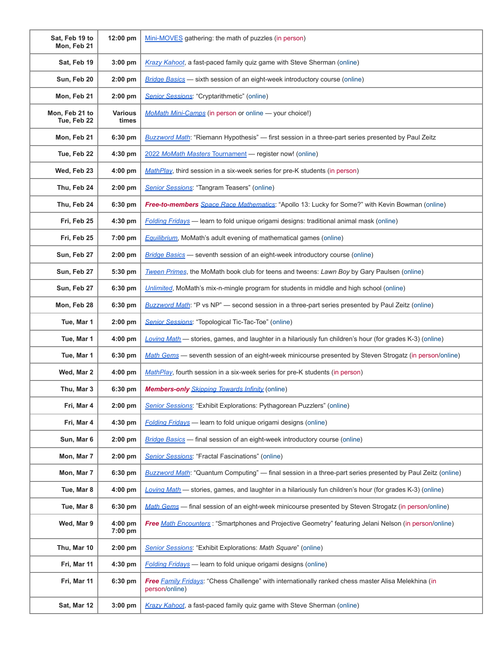| Sat, Feb 19 to<br>Mon, Feb 21 | 12:00 pm                | Mini-MOVES gathering: the math of puzzles (in person)                                                                 |
|-------------------------------|-------------------------|-----------------------------------------------------------------------------------------------------------------------|
| Sat, Feb 19                   | 3:00 pm                 | Krazy Kahoot, a fast-paced family quiz game with Steve Sherman (online)                                               |
| Sun, Feb 20                   | $2:00$ pm               | Bridge Basics - sixth session of an eight-week introductory course (online)                                           |
| Mon, Feb 21                   | $2:00$ pm               | Senior Sessions: "Cryptarithmetic" (online)                                                                           |
| Mon, Feb 21 to<br>Tue. Feb 22 | <b>Various</b><br>times | MoMath Mini-Camps (in person or online - your choice!)                                                                |
| Mon, Feb 21                   | 6:30 pm                 | Buzzword Math: "Riemann Hypothesis" - first session in a three-part series presented by Paul Zeitz                    |
| Tue, Feb 22                   | 4:30 pm                 | 2022 MoMath Masters Tournament - register now! (online)                                                               |
| Wed, Feb 23                   | $4:00$ pm               | MathPlay, third session in a six-week series for pre-K students (in person)                                           |
| Thu, Feb 24                   | $2:00$ pm               | Senior Sessions: "Tangram Teasers" (online)                                                                           |
| Thu, Feb 24                   | 6:30 pm                 | Free-to-members Space Race Mathematics: "Apollo 13: Lucky for Some?" with Kevin Bowman (online)                       |
| Fri, Feb 25                   | 4:30 pm                 | Folding Fridays - learn to fold unique origami designs: traditional animal mask (online)                              |
| Fri, Feb 25                   | 7:00 pm                 | <b>Equilibrium</b> , MoMath's adult evening of mathematical games (online)                                            |
| Sun, Feb 27                   | $2:00$ pm               | Bridge Basics - seventh session of an eight-week introductory course (online)                                         |
| Sun, Feb 27                   | 5:30 pm                 | Tween Primes, the MoMath book club for teens and tweens: Lawn Boy by Gary Paulsen (online)                            |
| Sun, Feb 27                   | 6:30 pm                 | Unlimited, MoMath's mix-n-mingle program for students in middle and high school (online)                              |
| Mon, Feb 28                   | 6:30 pm                 | Buzzword Math: "P vs NP" — second session in a three-part series presented by Paul Zeitz (online)                     |
| Tue, Mar 1                    | $2:00$ pm               | Senior Sessions: "Topological Tic-Tac-Toe" (online)                                                                   |
| Tue, Mar 1                    | $4:00$ pm               | Loving Math - stories, games, and laughter in a hilariously fun children's hour (for grades K-3) (online)             |
| Tue, Mar 1                    | 6:30 pm                 | Math Gems - seventh session of an eight-week minicourse presented by Steven Strogatz (in person/online)               |
| Wed, Mar 2                    | $4:00$ pm               | MathPlay, fourth session in a six-week series for pre-K students (in person)                                          |
| Thu, Mar 3                    | 6:30 pm                 | <b>Members-only</b> <i>Skipping Towards Infinity</i> (online)                                                         |
| Fri, Mar 4                    | $2:00$ pm               | Senior Sessions: "Exhibit Explorations: Pythagorean Puzzlers" (online)                                                |
| Fri, Mar 4                    | 4:30 pm                 | Folding Fridays - learn to fold unique origami designs (online)                                                       |
| Sun, Mar 6                    | $2:00$ pm               | <b>Bridge Basics</b> — final session of an eight-week introductory course (online)                                    |
| Mon, Mar 7                    | 2:00 pm                 | Senior Sessions: "Fractal Fascinations" (online)                                                                      |
| Mon, Mar 7                    | 6:30 pm                 | Buzzword Math: "Quantum Computing" - final session in a three-part series presented by Paul Zeitz (online)            |
| Tue, Mar 8                    | 4:00 pm                 | Loving Math - stories, games, and laughter in a hilariously fun children's hour (for grades K-3) (online)             |
| Tue, Mar 8                    | 6:30 pm                 | Math Gems - final session of an eight-week minicourse presented by Steven Strogatz (in person/online)                 |
| Wed, Mar 9                    | 4:00 pm<br>7:00 pm      | Free Math Encounters: "Smartphones and Projective Geometry" featuring Jelani Nelson (in person/online)                |
| Thu, Mar 10                   | $2:00$ pm               | Senior Sessions: "Exhibit Explorations: Math Square" (online)                                                         |
| Fri, Mar 11                   | 4:30 pm                 | <b>Folding Fridays</b> - learn to fold unique origami designs (online)                                                |
| Fri, Mar 11                   | 6:30 pm                 | Free Family Fridays: "Chess Challenge" with internationally ranked chess master Alisa Melekhina (in<br>person/online) |
| Sat, Mar 12                   | $3:00$ pm               | Krazy Kahoot, a fast-paced family quiz game with Steve Sherman (online)                                               |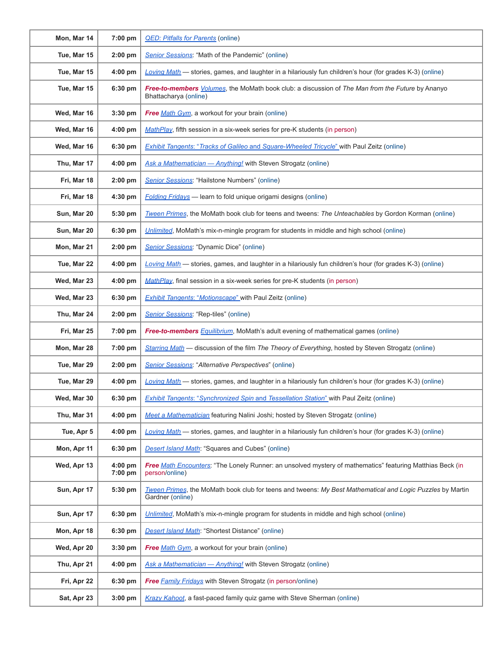| Mon, Mar 14 | 7:00 pm              | <b>QED: Pitfalls for Parents (online)</b>                                                                                         |
|-------------|----------------------|-----------------------------------------------------------------------------------------------------------------------------------|
| Tue, Mar 15 | $2:00$ pm            | Senior Sessions: "Math of the Pandemic" (online)                                                                                  |
| Tue, Mar 15 | $4:00$ pm            | Loving Math — stories, games, and laughter in a hilariously fun children's hour (for grades K-3) (online)                         |
| Tue, Mar 15 | 6:30 pm              | Free-to-members <i>Volumes</i> , the MoMath book club: a discussion of The Man from the Future by Ananyo<br>Bhattacharya (online) |
| Wed, Mar 16 | $3:30$ pm            | Free Math Gym, a workout for your brain (online)                                                                                  |
| Wed, Mar 16 | $4:00$ pm            | MathPlay, fifth session in a six-week series for pre-K students (in person)                                                       |
| Wed, Mar 16 | 6:30 pm              | Exhibit Tangents: "Tracks of Galileo and Square-Wheeled Tricycle" with Paul Zeitz (online)                                        |
| Thu, Mar 17 | 4:00 pm              | Ask a Mathematician - Anything! with Steven Strogatz (online)                                                                     |
| Fri, Mar 18 | $2:00$ pm            | Senior Sessions: "Hailstone Numbers" (online)                                                                                     |
| Fri, Mar 18 | 4:30 pm              | <b>Folding Fridays</b> - learn to fold unique origami designs (online)                                                            |
| Sun, Mar 20 | 5:30 pm              | Tween Primes, the MoMath book club for teens and tweens: The Unteachables by Gordon Korman (online)                               |
| Sun, Mar 20 | 6:30 pm              | Unlimited, MoMath's mix-n-mingle program for students in middle and high school (online)                                          |
| Mon, Mar 21 | $2:00$ pm            | Senior Sessions: "Dynamic Dice" (online)                                                                                          |
| Tue, Mar 22 | 4:00 pm              | Loving Math - stories, games, and laughter in a hilariously fun children's hour (for grades K-3) (online)                         |
| Wed, Mar 23 | 4:00 pm              | MathPlay, final session in a six-week series for pre-K students (in person)                                                       |
| Wed, Mar 23 | 6:30 pm              | <b>Exhibit Tangents: "Motionscape"</b> with Paul Zeitz (online)                                                                   |
| Thu, Mar 24 | $2:00$ pm            | Senior Sessions: "Rep-tiles" (online)                                                                                             |
| Fri, Mar 25 | 7:00 pm              | Free-to-members Equilibrium, MoMath's adult evening of mathematical games (online)                                                |
| Mon, Mar 28 | 7:00 pm              | Starring Math — discussion of the film The Theory of Everything, hosted by Steven Strogatz (online)                               |
| Tue, Mar 29 | $2:00$ pm            | Senior Sessions: "Alternative Perspectives" (online)                                                                              |
| Tue, Mar 29 | $4:00$ pm            | Loving Math - stories, games, and laughter in a hilariously fun children's hour (for grades K-3) (online)                         |
| Wed, Mar 30 | $6:30$ pm $\vert$    | <b>Exhibit Tangents: "Synchronized Spin and Tessellation Station"</b> with Paul Zeitz (online)                                    |
| Thu, Mar 31 | $4:00$ pm            | Meet a Mathematician featuring Nalini Joshi; hosted by Steven Strogatz (online)                                                   |
| Tue, Apr 5  | 4:00 pm              | Loving Math — stories, games, and laughter in a hilariously fun children's hour (for grades K-3) (online)                         |
| Mon, Apr 11 | 6:30 pm              | <b>Desert Island Math:</b> "Squares and Cubes" (online)                                                                           |
| Wed, Apr 13 | $4:00$ pm<br>7:00 pm | Free Math Encounters: "The Lonely Runner: an unsolved mystery of mathematics" featuring Matthias Beck (in<br>person/online)       |
| Sun, Apr 17 | 5:30 pm              | Tween Primes, the MoMath book club for teens and tweens: My Best Mathematical and Logic Puzzles by Martin<br>Gardner (online)     |
| Sun, Apr 17 | 6:30 pm              | Unlimited, MoMath's mix-n-mingle program for students in middle and high school (online)                                          |
| Mon, Apr 18 | 6:30 pm              | <b>Desert Island Math: "Shortest Distance" (online)</b>                                                                           |
| Wed, Apr 20 | 3:30 pm              | Free Math Gym, a workout for your brain (online)                                                                                  |
| Thu, Apr 21 | 4:00 pm              | Ask a Mathematician - Anything! with Steven Strogatz (online)                                                                     |
| Fri, Apr 22 | 6:30 pm              | <b>Free Family Fridays with Steven Strogatz (in person/online)</b>                                                                |
| Sat, Apr 23 | $3:00$ pm            | Krazy Kahoot, a fast-paced family quiz game with Steve Sherman (online)                                                           |